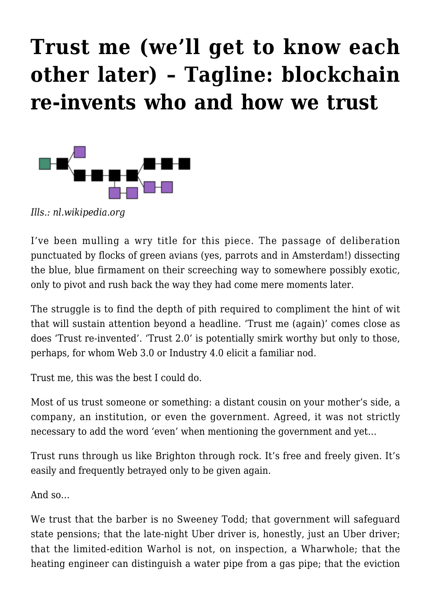## **[Trust me \(we'll get to know each](https://rozenbergquarterly.com/trust-me-well-get-to-know-each-other-later-tagline-blockchain-re-invents-who-and-how-we-trust/) [other later\) – Tagline: blockchain](https://rozenbergquarterly.com/trust-me-well-get-to-know-each-other-later-tagline-blockchain-re-invents-who-and-how-we-trust/) [re-invents who and how we trust](https://rozenbergquarterly.com/trust-me-well-get-to-know-each-other-later-tagline-blockchain-re-invents-who-and-how-we-trust/)**



*Ills.: nl.wikipedia.org*

I've been mulling a wry title for this piece. The passage of deliberation punctuated by flocks of green avians (yes, parrots and in Amsterdam!) dissecting the blue, blue firmament on their screeching way to somewhere possibly exotic, only to pivot and rush back the way they had come mere moments later.

The struggle is to find the depth of pith required to compliment the hint of wit that will sustain attention beyond a headline. 'Trust me (again)' comes close as does 'Trust re-invented'. 'Trust 2.0' is potentially smirk worthy but only to those, perhaps, for whom Web 3.0 or Industry 4.0 elicit a familiar nod.

Trust me, this was the best I could do.

Most of us trust someone or something: a distant cousin on your mother's side, a company, an institution, or even the government. Agreed, it was not strictly necessary to add the word 'even' when mentioning the government and yet…

Trust runs through us like Brighton through rock. It's free and freely given. It's easily and frequently betrayed only to be given again.

And so…

We trust that the barber is no Sweeney Todd; that government will safeguard state pensions; that the late-night Uber driver is, honestly, just an Uber driver; that the limited-edition Warhol is not, on inspection, a Wharwhole; that the heating engineer can distinguish a water pipe from a gas pipe; that the eviction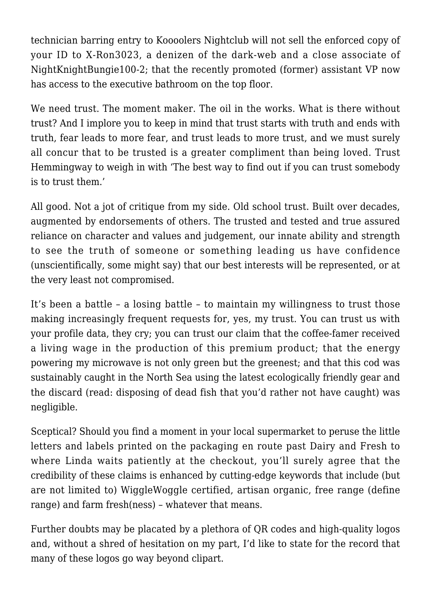technician barring entry to Koooolers Nightclub will not sell the enforced copy of your ID to X-Ron3023, a denizen of the dark-web and a close associate of NightKnightBungie100-2; that the recently promoted (former) assistant VP now has access to the executive bathroom on the top floor.

We need trust. The moment maker. The oil in the works. What is there without trust? And I implore you to keep in mind that trust starts with truth and ends with truth, fear leads to more fear, and trust leads to more trust, and we must surely all concur that to be trusted is a greater compliment than being loved. Trust Hemmingway to weigh in with 'The best way to find out if you can trust somebody is to trust them.'

All good. Not a jot of critique from my side. Old school trust. Built over decades, augmented by endorsements of others. The trusted and tested and true assured reliance on character and values and judgement, our innate ability and strength to see the truth of someone or something leading us have confidence (unscientifically, some might say) that our best interests will be represented, or at the very least not compromised.

It's been a battle – a losing battle – to maintain my willingness to trust those making increasingly frequent requests for, yes, my trust. You can trust us with your profile data, they cry; you can trust our claim that the coffee-famer received a living wage in the production of this premium product; that the energy powering my microwave is not only green but the greenest; and that this cod was sustainably caught in the North Sea using the latest ecologically friendly gear and the discard (read: disposing of dead fish that you'd rather not have caught) was negligible.

Sceptical? Should you find a moment in your local supermarket to peruse the little letters and labels printed on the packaging en route past Dairy and Fresh to where Linda waits patiently at the checkout, you'll surely agree that the credibility of these claims is enhanced by cutting-edge keywords that include (but are not limited to) WiggleWoggle certified, artisan organic, free range (define range) and farm fresh(ness) – whatever that means.

Further doubts may be placated by a plethora of QR codes and high-quality logos and, without a shred of hesitation on my part, I'd like to state for the record that many of these logos go way beyond clipart.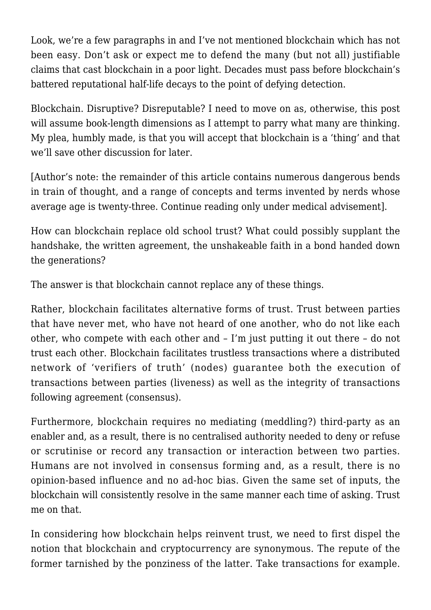Look, we're a few paragraphs in and I've not mentioned blockchain which has not been easy. Don't ask or expect me to defend the many (but not all) justifiable claims that cast blockchain in a poor light. Decades must pass before blockchain's battered reputational half-life decays to the point of defying detection.

Blockchain. Disruptive? Disreputable? I need to move on as, otherwise, this post will assume book-length dimensions as I attempt to parry what many are thinking. My plea, humbly made, is that you will accept that blockchain is a 'thing' and that we'll save other discussion for later.

[Author's note: the remainder of this article contains numerous dangerous bends in train of thought, and a range of concepts and terms invented by nerds whose average age is twenty-three. Continue reading only under medical advisement].

How can blockchain replace old school trust? What could possibly supplant the handshake, the written agreement, the unshakeable faith in a bond handed down the generations?

The answer is that blockchain cannot replace any of these things.

Rather, blockchain facilitates alternative forms of trust. Trust between parties that have never met, who have not heard of one another, who do not like each other, who compete with each other and – I'm just putting it out there – do not trust each other. Blockchain facilitates trustless transactions where a distributed network of 'verifiers of truth' (nodes) guarantee both the execution of transactions between parties (liveness) as well as the integrity of transactions following agreement (consensus).

Furthermore, blockchain requires no mediating (meddling?) third-party as an enabler and, as a result, there is no centralised authority needed to deny or refuse or scrutinise or record any transaction or interaction between two parties. Humans are not involved in consensus forming and, as a result, there is no opinion-based influence and no ad-hoc bias. Given the same set of inputs, the blockchain will consistently resolve in the same manner each time of asking. Trust me on that.

In considering how blockchain helps reinvent trust, we need to first dispel the notion that blockchain and cryptocurrency are synonymous. The repute of the former tarnished by the ponziness of the latter. Take transactions for example.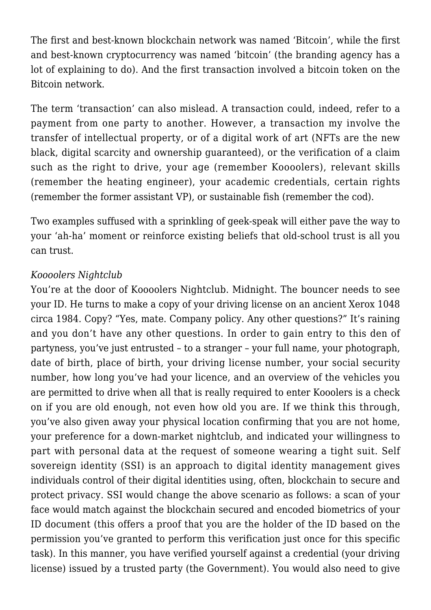The first and best-known blockchain network was named 'Bitcoin', while the first and best-known cryptocurrency was named 'bitcoin' (the branding agency has a lot of explaining to do). And the first transaction involved a bitcoin token on the Bitcoin network.

The term 'transaction' can also mislead. A transaction could, indeed, refer to a payment from one party to another. However, a transaction my involve the transfer of intellectual property, or of a digital work of art (NFTs are the new black, digital scarcity and ownership guaranteed), or the verification of a claim such as the right to drive, your age (remember Koooolers), relevant skills (remember the heating engineer), your academic credentials, certain rights (remember the former assistant VP), or sustainable fish (remember the cod).

Two examples suffused with a sprinkling of geek-speak will either pave the way to your 'ah-ha' moment or reinforce existing beliefs that old-school trust is all you can trust.

## *Koooolers Nightclub*

You're at the door of Koooolers Nightclub. Midnight. The bouncer needs to see your ID. He turns to make a copy of your driving license on an ancient Xerox 1048 circa 1984. Copy? "Yes, mate. Company policy. Any other questions?" It's raining and you don't have any other questions. In order to gain entry to this den of partyness, you've just entrusted – to a stranger – your full name, your photograph, date of birth, place of birth, your driving license number, your social security number, how long you've had your licence, and an overview of the vehicles you are permitted to drive when all that is really required to enter Kooolers is a check on if you are old enough, not even how old you are. If we think this through, you've also given away your physical location confirming that you are not home, your preference for a down-market nightclub, and indicated your willingness to part with personal data at the request of someone wearing a tight suit. Self sovereign identity (SSI) is an approach to digital identity management gives individuals control of their digital identities using, often, blockchain to secure and protect privacy. SSI would change the above scenario as follows: a scan of your face would match against the blockchain secured and encoded biometrics of your ID document (this offers a proof that you are the holder of the ID based on the permission you've granted to perform this verification just once for this specific task). In this manner, you have verified yourself against a credential (your driving license) issued by a trusted party (the Government). You would also need to give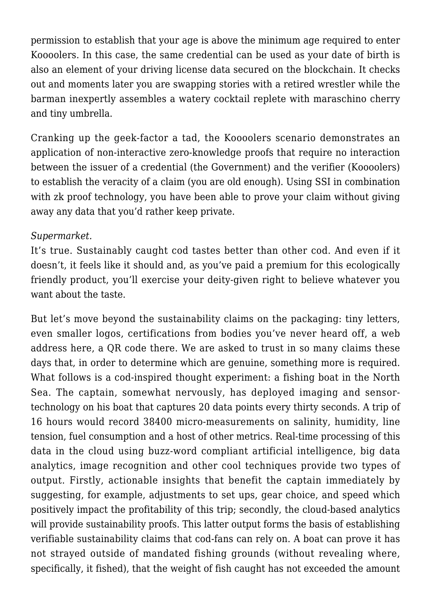permission to establish that your age is above the minimum age required to enter Koooolers. In this case, the same credential can be used as your date of birth is also an element of your driving license data secured on the blockchain. It checks out and moments later you are swapping stories with a retired wrestler while the barman inexpertly assembles a watery cocktail replete with maraschino cherry and tiny umbrella.

Cranking up the geek-factor a tad, the Koooolers scenario demonstrates an application of non-interactive zero-knowledge proofs that require no interaction between the issuer of a credential (the Government) and the verifier (Koooolers) to establish the veracity of a claim (you are old enough). Using SSI in combination with zk proof technology, you have been able to prove your claim without giving away any data that you'd rather keep private.

## *Supermarket.*

It's true. Sustainably caught cod tastes better than other cod. And even if it doesn't, it feels like it should and, as you've paid a premium for this ecologically friendly product, you'll exercise your deity-given right to believe whatever you want about the taste.

But let's move beyond the sustainability claims on the packaging: tiny letters, even smaller logos, certifications from bodies you've never heard off, a web address here, a QR code there. We are asked to trust in so many claims these days that, in order to determine which are genuine, something more is required. What follows is a cod-inspired thought experiment: a fishing boat in the North Sea. The captain, somewhat nervously, has deployed imaging and sensortechnology on his boat that captures 20 data points every thirty seconds. A trip of 16 hours would record 38400 micro-measurements on salinity, humidity, line tension, fuel consumption and a host of other metrics. Real-time processing of this data in the cloud using buzz-word compliant artificial intelligence, big data analytics, image recognition and other cool techniques provide two types of output. Firstly, actionable insights that benefit the captain immediately by suggesting, for example, adjustments to set ups, gear choice, and speed which positively impact the profitability of this trip; secondly, the cloud-based analytics will provide sustainability proofs. This latter output forms the basis of establishing verifiable sustainability claims that cod-fans can rely on. A boat can prove it has not strayed outside of mandated fishing grounds (without revealing where, specifically, it fished), that the weight of fish caught has not exceeded the amount